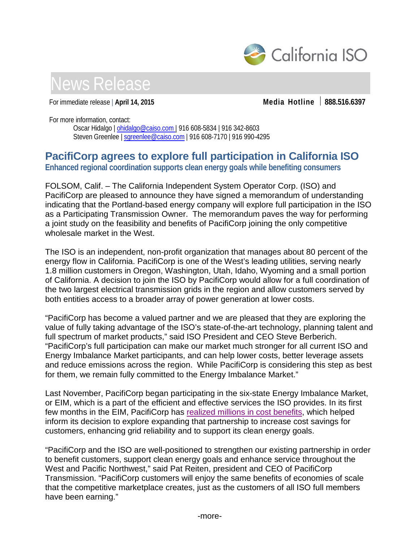



For immediate release | **April 14, 2015 Media Hotline 888.516.6397**

For more information, contact:

Oscar Hidalgo | [ohidalgo@caiso.com](mailto:ohidalgo@caiso.com) | 916 608-5834 | 916 342-8603 Steven Greenlee | sqreenlee@caiso.com | 916 608-7170 | 916 990-4295

## **PacifiCorp agrees to explore full participation in California ISO**

**Enhanced regional coordination supports clean energy goals while benefiting consumers**

FOLSOM, Calif. – The California Independent System Operator Corp. (ISO) and PacifiCorp are pleased to announce they have signed a memorandum of understanding indicating that the Portland-based energy company will explore full participation in the ISO as a Participating Transmission Owner. The memorandum paves the way for performing a joint study on the feasibility and benefits of PacifiCorp joining the only competitive wholesale market in the West.

The ISO is an independent, non-profit organization that manages about 80 percent of the energy flow in California. PacifiCorp is one of the West's leading utilities, serving nearly 1.8 million customers in Oregon, Washington, Utah, Idaho, Wyoming and a small portion of California. A decision to join the ISO by PacifiCorp would allow for a full coordination of the two largest electrical transmission grids in the region and allow customers served by both entities access to a broader array of power generation at lower costs.

"PacifiCorp has become a valued partner and we are pleased that they are exploring the value of fully taking advantage of the ISO's state-of-the-art technology, planning talent and full spectrum of market products," said ISO President and CEO Steve Berberich. "PacifiCorp's full participation can make our market much stronger for all current ISO and Energy Imbalance Market participants, and can help lower costs, better leverage assets and reduce emissions across the region. While PacifiCorp is considering this step as best for them, we remain fully committed to the Energy Imbalance Market."

Last November, PacifiCorp began participating in the six-state Energy Imbalance Market, or EIM, which is a part of the efficient and effective services the ISO provides. In its first few months in the EIM, PacifiCorp has [realized millions in cost benefits,](http://www.caiso.com/Documents/PacifiCorp_ISO_EIMBenefitsReportQ4_2014.pdf) which helped inform its decision to explore expanding that partnership to increase cost savings for customers, enhancing grid reliability and to support its clean energy goals.

"PacifiCorp and the ISO are well-positioned to strengthen our existing partnership in order to benefit customers, support clean energy goals and enhance service throughout the West and Pacific Northwest," said Pat Reiten, president and CEO of PacifiCorp Transmission. "PacifiCorp customers will enjoy the same benefits of economies of scale that the competitive marketplace creates, just as the customers of all ISO full members have been earning."